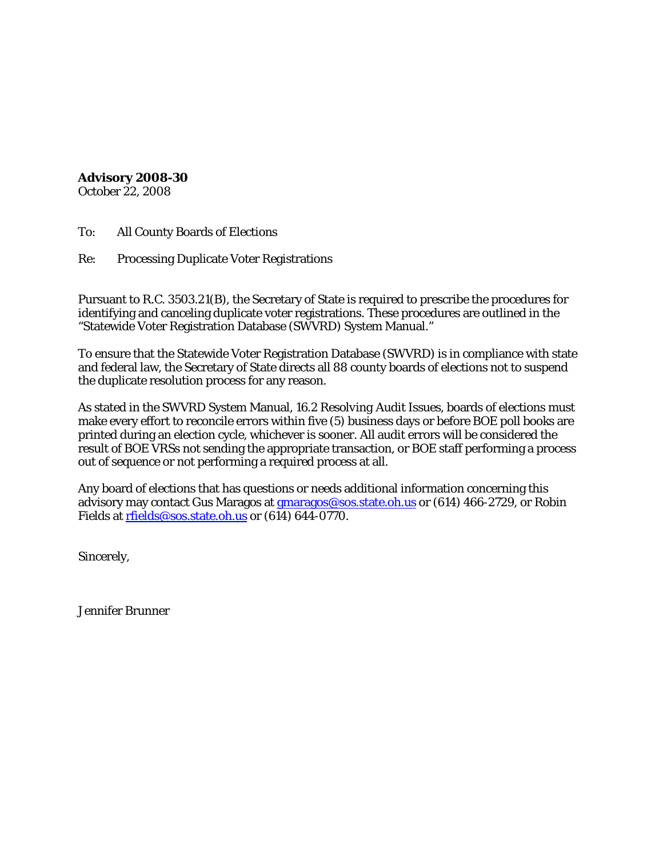**Advisory 2008-30** October 22, 2008

To: All County Boards of Elections

Re: Processing Duplicate Voter Registrations

Pursuant to R.C. 3503.21(B), the Secretary of State is required to prescribe the procedures for identifying and canceling duplicate voter registrations. These procedures are outlined in the "Statewide Voter Registration Database (SWVRD) System Manual."

To ensure that the Statewide Voter Registration Database (SWVRD) is in compliance with state and federal law, the Secretary of State directs all 88 county boards of elections not to suspend the duplicate resolution process for any reason.

As stated in the SWVRD System Manual, *16.2 Resolving Audit Issues,* boards of elections must make every effort to reconcile errors within five (5) business days or before BOE poll books are printed during an election cycle, whichever is sooner. All audit errors will be considered the result of BOE VRSs not sending the appropriate transaction, or BOE staff performing a process out of sequence or not performing a required process at all.

Any board of elections that has questions or needs additional information concerning this advisory may contact Gus Maragos at *gmaragos@sos.state.oh.us* or (614) 466-2729, or Robin Fields at [rfields@sos.state.oh.us](mailto:rfields@sos.state.oh.us) or (614) 644-0770.

Sincerely,

Jennifer Brunner